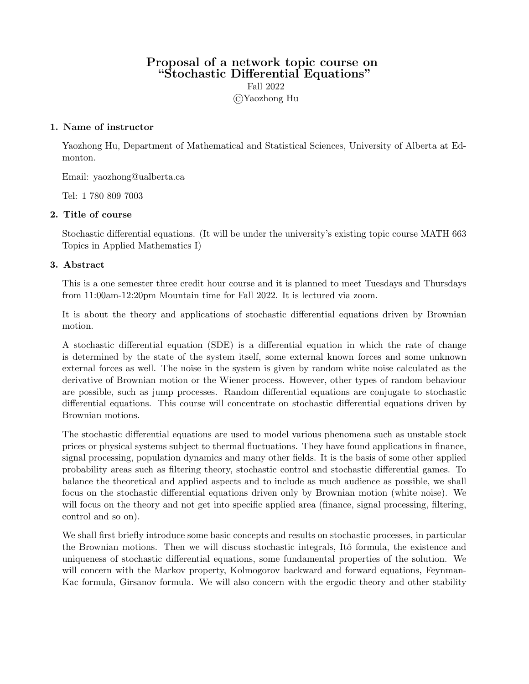# Proposal of a network topic course on "Stochastic Differential Equations" Fall 2022 ©Yaozhong Hu

### 1. Name of instructor

Yaozhong Hu, Department of Mathematical and Statistical Sciences, University of Alberta at Edmonton.

Email: yaozhong@ualberta.ca

Tel: 1 780 809 7003

#### 2. Title of course

Stochastic differential equations. (It will be under the university's existing topic course MATH 663 Topics in Applied Mathematics I)

#### 3. Abstract

This is a one semester three credit hour course and it is planned to meet Tuesdays and Thursdays from 11:00am-12:20pm Mountain time for Fall 2022. It is lectured via zoom.

It is about the theory and applications of stochastic differential equations driven by Brownian motion.

A stochastic differential equation (SDE) is a differential equation in which the rate of change is determined by the state of the system itself, some external known forces and some unknown external forces as well. The noise in the system is given by random white noise calculated as the derivative of Brownian motion or the Wiener process. However, other types of random behaviour are possible, such as jump processes. Random differential equations are conjugate to stochastic differential equations. This course will concentrate on stochastic differential equations driven by Brownian motions.

The stochastic differential equations are used to model various phenomena such as unstable stock prices or physical systems subject to thermal fluctuations. They have found applications in finance, signal processing, population dynamics and many other fields. It is the basis of some other applied probability areas such as filtering theory, stochastic control and stochastic differential games. To balance the theoretical and applied aspects and to include as much audience as possible, we shall focus on the stochastic differential equations driven only by Brownian motion (white noise). We will focus on the theory and not get into specific applied area (finance, signal processing, filtering, control and so on).

We shall first briefly introduce some basic concepts and results on stochastic processes, in particular the Brownian motions. Then we will discuss stochastic integrals, Itô formula, the existence and uniqueness of stochastic differential equations, some fundamental properties of the solution. We will concern with the Markov property, Kolmogorov backward and forward equations, Feynman-Kac formula, Girsanov formula. We will also concern with the ergodic theory and other stability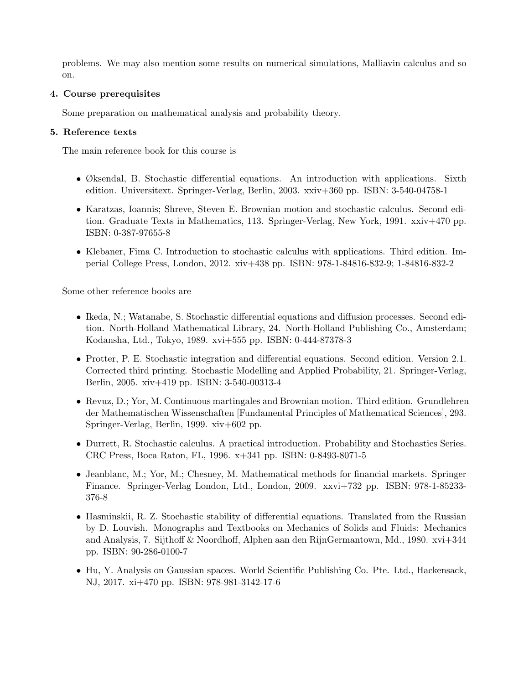problems. We may also mention some results on numerical simulations, Malliavin calculus and so on.

# 4. Course prerequisites

Some preparation on mathematical analysis and probability theory.

### 5. Reference texts

The main reference book for this course is

- Øksendal, B. Stochastic differential equations. An introduction with applications. Sixth edition. Universitext. Springer-Verlag, Berlin, 2003. xxiv+360 pp. ISBN: 3-540-04758-1
- Karatzas, Ioannis; Shreve, Steven E. Brownian motion and stochastic calculus. Second edition. Graduate Texts in Mathematics, 113. Springer-Verlag, New York, 1991. xxiv+470 pp. ISBN: 0-387-97655-8
- Klebaner, Fima C. Introduction to stochastic calculus with applications. Third edition. Imperial College Press, London, 2012. xiv+438 pp. ISBN: 978-1-84816-832-9; 1-84816-832-2

Some other reference books are

- Ikeda, N.; Watanabe, S. Stochastic differential equations and diffusion processes. Second edition. North-Holland Mathematical Library, 24. North-Holland Publishing Co., Amsterdam; Kodansha, Ltd., Tokyo, 1989. xvi+555 pp. ISBN: 0-444-87378-3
- Protter, P. E. Stochastic integration and differential equations. Second edition. Version 2.1. Corrected third printing. Stochastic Modelling and Applied Probability, 21. Springer-Verlag, Berlin, 2005. xiv+419 pp. ISBN: 3-540-00313-4
- Revuz, D.; Yor, M. Continuous martingales and Brownian motion. Third edition. Grundlehren der Mathematischen Wissenschaften [Fundamental Principles of Mathematical Sciences], 293. Springer-Verlag, Berlin, 1999. xiv+602 pp.
- Durrett, R. Stochastic calculus. A practical introduction. Probability and Stochastics Series. CRC Press, Boca Raton, FL, 1996. x+341 pp. ISBN: 0-8493-8071-5
- Jeanblanc, M.; Yor, M.; Chesney, M. Mathematical methods for financial markets. Springer Finance. Springer-Verlag London, Ltd., London, 2009. xxvi+732 pp. ISBN: 978-1-85233- 376-8
- Hasminskii, R. Z. Stochastic stability of differential equations. Translated from the Russian by D. Louvish. Monographs and Textbooks on Mechanics of Solids and Fluids: Mechanics and Analysis, 7. Sijthoff & Noordhoff, Alphen aan den RijnGermantown, Md., 1980. xvi+344 pp. ISBN: 90-286-0100-7
- Hu, Y. Analysis on Gaussian spaces. World Scientific Publishing Co. Pte. Ltd., Hackensack, NJ, 2017. xi+470 pp. ISBN: 978-981-3142-17-6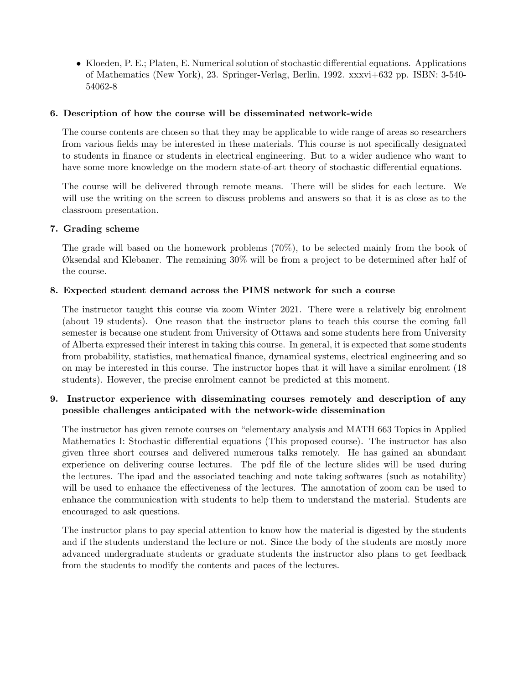• Kloeden, P. E.; Platen, E. Numerical solution of stochastic differential equations. Applications of Mathematics (New York), 23. Springer-Verlag, Berlin, 1992. xxxvi+632 pp. ISBN: 3-540- 54062-8

# 6. Description of how the course will be disseminated network-wide

The course contents are chosen so that they may be applicable to wide range of areas so researchers from various fields may be interested in these materials. This course is not specifically designated to students in finance or students in electrical engineering. But to a wider audience who want to have some more knowledge on the modern state-of-art theory of stochastic differential equations.

The course will be delivered through remote means. There will be slides for each lecture. We will use the writing on the screen to discuss problems and answers so that it is as close as to the classroom presentation.

# 7. Grading scheme

The grade will based on the homework problems (70%), to be selected mainly from the book of Øksendal and Klebaner. The remaining 30% will be from a project to be determined after half of the course.

# 8. Expected student demand across the PIMS network for such a course

The instructor taught this course via zoom Winter 2021. There were a relatively big enrolment (about 19 students). One reason that the instructor plans to teach this course the coming fall semester is because one student from University of Ottawa and some students here from University of Alberta expressed their interest in taking this course. In general, it is expected that some students from probability, statistics, mathematical finance, dynamical systems, electrical engineering and so on may be interested in this course. The instructor hopes that it will have a similar enrolment (18 students). However, the precise enrolment cannot be predicted at this moment.

# 9. Instructor experience with disseminating courses remotely and description of any possible challenges anticipated with the network-wide dissemination

The instructor has given remote courses on "elementary analysis and MATH 663 Topics in Applied Mathematics I: Stochastic differential equations (This proposed course). The instructor has also given three short courses and delivered numerous talks remotely. He has gained an abundant experience on delivering course lectures. The pdf file of the lecture slides will be used during the lectures. The ipad and the associated teaching and note taking softwares (such as notability) will be used to enhance the effectiveness of the lectures. The annotation of zoom can be used to enhance the communication with students to help them to understand the material. Students are encouraged to ask questions.

The instructor plans to pay special attention to know how the material is digested by the students and if the students understand the lecture or not. Since the body of the students are mostly more advanced undergraduate students or graduate students the instructor also plans to get feedback from the students to modify the contents and paces of the lectures.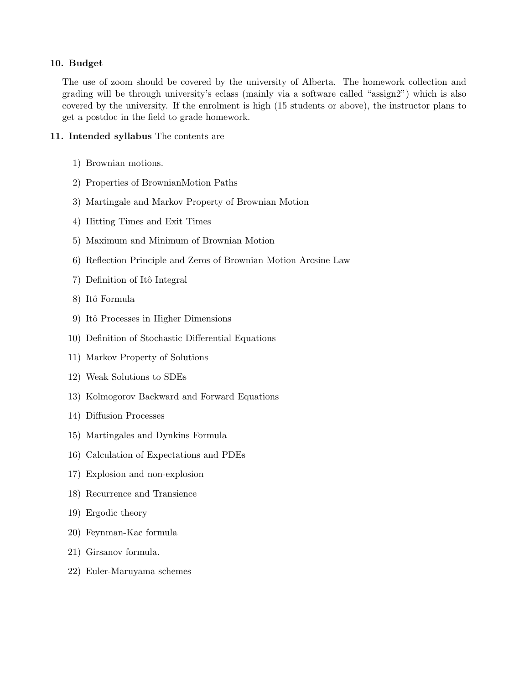#### 10. Budget

The use of zoom should be covered by the university of Alberta. The homework collection and grading will be through university's eclass (mainly via a software called "assign2") which is also covered by the university. If the enrolment is high (15 students or above), the instructor plans to get a postdoc in the field to grade homework.

#### 11. Intended syllabus The contents are

- 1) Brownian motions.
- 2) Properties of BrownianMotion Paths
- 3) Martingale and Markov Property of Brownian Motion
- 4) Hitting Times and Exit Times
- 5) Maximum and Minimum of Brownian Motion
- 6) Reflection Principle and Zeros of Brownian Motion Arcsine Law
- 7) Definition of Itô Integral
- 8) Itô Formula
- 9) Itô Processes in Higher Dimensions
- 10) Definition of Stochastic Differential Equations
- 11) Markov Property of Solutions
- 12) Weak Solutions to SDEs
- 13) Kolmogorov Backward and Forward Equations
- 14) Diffusion Processes
- 15) Martingales and Dynkins Formula
- 16) Calculation of Expectations and PDEs
- 17) Explosion and non-explosion
- 18) Recurrence and Transience
- 19) Ergodic theory
- 20) Feynman-Kac formula
- 21) Girsanov formula.
- 22) Euler-Maruyama schemes